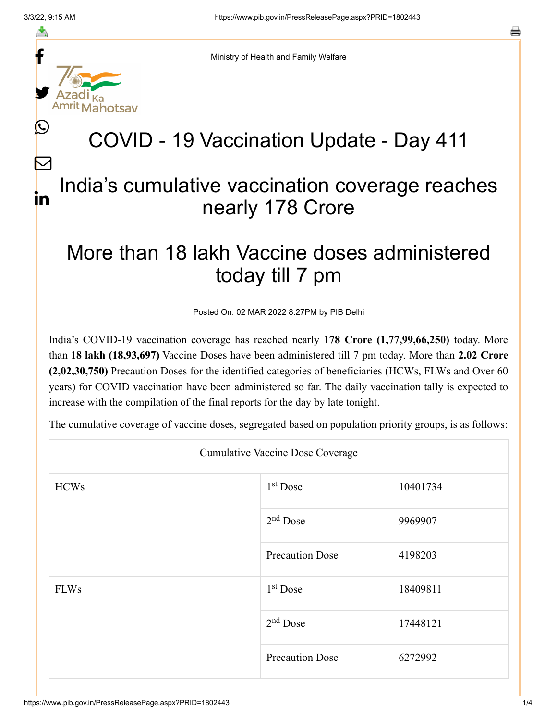f

≛

y.

ahotsay

L

 $\bm{\nabla}$ 

in

s

Ministry of Health and Family Welfare

## COVID - 19 Vaccination Update - Day 411

## India's cumulative vaccination coverage reaches nearly 178 Crore

## More than 18 lakh Vaccine doses administered today till 7 pm

Posted On: 02 MAR 2022 8:27PM by PIB Delhi

India's COVID-19 vaccination coverage has reached nearly **178 Crore (1,77,99,66,250)** today. More than **18 lakh (18,93,697)** Vaccine Doses have been administered till 7 pm today. More than **2.02 Crore (2,02,30,750)** Precaution Doses for the identified categories of beneficiaries (HCWs, FLWs and Over 60 years) for COVID vaccination have been administered so far. The daily vaccination tally is expected to increase with the compilation of the final reports for the day by late tonight.

The cumulative coverage of vaccine doses, segregated based on population priority groups, is as follows:

| <b>Cumulative Vaccine Dose Coverage</b> |                        |          |  |  |
|-----------------------------------------|------------------------|----------|--|--|
| <b>HCWs</b>                             | $1st$ Dose             | 10401734 |  |  |
|                                         | $2nd$ Dose             | 9969907  |  |  |
|                                         | <b>Precaution Dose</b> | 4198203  |  |  |
| <b>FLWs</b>                             | 1 <sup>st</sup> Dose   | 18409811 |  |  |
|                                         | $2nd$ Dose             | 17448121 |  |  |
|                                         | <b>Precaution Dose</b> | 6272992  |  |  |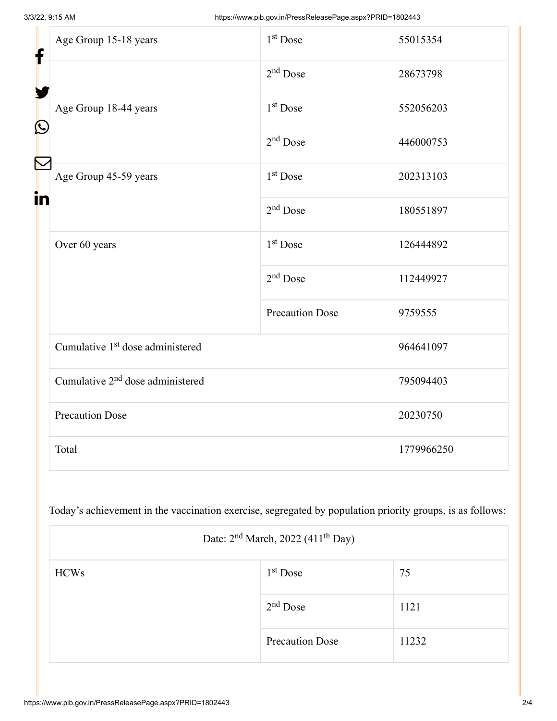| f<br>$\bigcirc$ | Age Group 15-18 years                        | $1st$ Dose             | 55015354   |
|-----------------|----------------------------------------------|------------------------|------------|
|                 |                                              | $2nd$ Dose             | 28673798   |
|                 | Age Group 18-44 years                        | $1st$ Dose             | 552056203  |
|                 |                                              | $2nd$ Dose             | 446000753  |
| R<br>in         | Age Group 45-59 years                        | $1st$ Dose             | 202313103  |
|                 |                                              | $2nd$ Dose             | 180551897  |
|                 | Over 60 years                                | 1 <sup>st</sup> Dose   | 126444892  |
|                 |                                              | $2nd$ Dose             | 112449927  |
|                 |                                              | <b>Precaution Dose</b> | 9759555    |
|                 | Cumulative 1 <sup>st</sup> dose administered |                        | 964641097  |
|                 | Cumulative 2 <sup>nd</sup> dose administered |                        | 795094403  |
|                 | <b>Precaution Dose</b>                       |                        | 20230750   |
|                 | Total                                        |                        | 1779966250 |

Today's achievement in the vaccination exercise, segregated by population priority groups, is as follows:

| Date: $2nd March$ , 2022 (411 <sup>th</sup> Day) |                        |       |  |
|--------------------------------------------------|------------------------|-------|--|
| <b>HCWs</b>                                      | $1st$ Dose             | 75    |  |
|                                                  | $2nd$ Dose             | 1121  |  |
|                                                  | <b>Precaution Dose</b> | 11232 |  |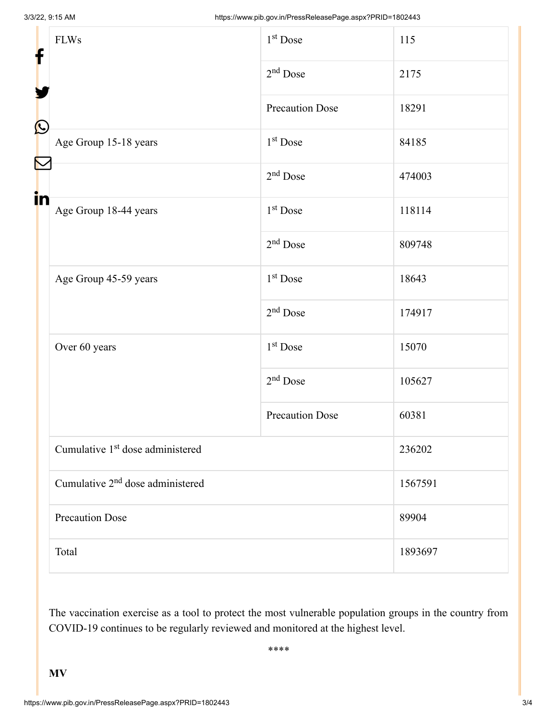| f<br>$\bf \Omega$<br>in | <b>FLWs</b>                                  | 1 <sup>st</sup> Dose | 115     |
|-------------------------|----------------------------------------------|----------------------|---------|
|                         |                                              | $2nd$ Dose           | 2175    |
|                         |                                              | Precaution Dose      | 18291   |
|                         | Age Group 15-18 years                        | $1st$ Dose           | 84185   |
|                         |                                              | $2nd$ Dose           | 474003  |
|                         | Age Group 18-44 years                        | $1st$ Dose           | 118114  |
|                         |                                              | $2nd$ Dose           | 809748  |
|                         | Age Group 45-59 years                        | 1 <sup>st</sup> Dose | 18643   |
|                         |                                              | $2nd$ Dose           | 174917  |
|                         | Over 60 years                                | $1st$ Dose           | 15070   |
|                         |                                              | $2nd$ Dose           | 105627  |
|                         |                                              | Precaution Dose      | 60381   |
|                         | Cumulative 1 <sup>st</sup> dose administered |                      | 236202  |
|                         | Cumulative 2 <sup>nd</sup> dose administered |                      | 1567591 |
|                         | <b>Precaution Dose</b>                       |                      | 89904   |
|                         | Total                                        |                      | 1893697 |

The vaccination exercise as a tool to protect the most vulnerable population groups in the country from COVID-19 continues to be regularly reviewed and monitored at the highest level.

\*\*\*\*